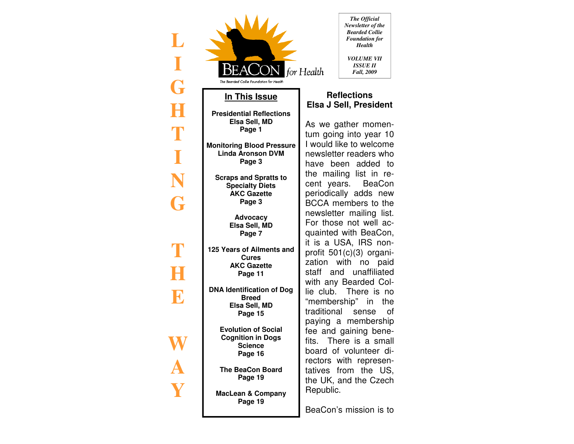| The Bearded Collie Foundation for Health                                                                                             | The Official<br>Newsletter of the<br><b>Bearded Collie</b><br><b>Foundation</b> for<br><b>Health</b><br>VOLUME VII<br><b>ISSUE II</b><br>for Health<br>Fall, 2009                                                                                                    |
|--------------------------------------------------------------------------------------------------------------------------------------|----------------------------------------------------------------------------------------------------------------------------------------------------------------------------------------------------------------------------------------------------------------------|
| In This Issue                                                                                                                        | <b>Reflections</b>                                                                                                                                                                                                                                                   |
| <b>Presidential Reflections</b><br>Elsa Sell, MD<br>Page 1<br><b>Monitoring Blood Pressure</b><br><b>Linda Aronson DVM</b><br>Page 3 | <b>Elsa J Sell, President</b><br>As we gather momen-<br>tum going into year 10<br>I would like to welcome<br>newsletter readers who<br>have been added to<br>the mailing list in re-<br>cent years.<br><b>BeaCon</b><br>periodically adds new<br>BCCA members to the |
| <b>Scraps and Spratts to</b><br><b>Specialty Diets</b><br><b>AKC Gazette</b><br>Page 3                                               |                                                                                                                                                                                                                                                                      |
| <b>Advocacy</b><br>Elsa Sell, MD<br>Page 7                                                                                           | newsletter mailing list.<br>For those not well ac-<br>quainted with BeaCon,<br>it is a USA, IRS non-                                                                                                                                                                 |
| 125 Years of Ailments and<br><b>Cures</b><br><b>AKC Gazette</b><br>Page 11                                                           | profit 501(c)(3) organi-<br>zation<br>with<br>paid<br>no<br>staff and unaffiliated                                                                                                                                                                                   |
| <b>DNA Identification of Dog</b><br><b>Breed</b><br>Elsa Sell, MD<br>Page 15                                                         | with any Bearded Col-<br>lie club. There is no<br>"membership" in<br>the<br>traditional<br>sense<br>οf<br>paying a membership<br>fee and gaining bene-<br>fits. There is a small<br>board of volunteer di-<br>rectors with represen-                                 |
| <b>Evolution of Social</b><br><b>Cognition in Dogs</b><br><b>Science</b><br>Page 16                                                  |                                                                                                                                                                                                                                                                      |
| <b>The BeaCon Board</b><br>Page 19<br><b>MacLean &amp; Company</b>                                                                   | tatives<br>from the US,<br>the UK, and the Czech<br>Republic.                                                                                                                                                                                                        |
| Page 19                                                                                                                              | BeaCon's mission is to                                                                                                                                                                                                                                               |

**L** 

**I** 

**G** 

**H** 

**T** 

**I** 

**N** 

**T** 

**H** 

**E** 

**W** 

**A**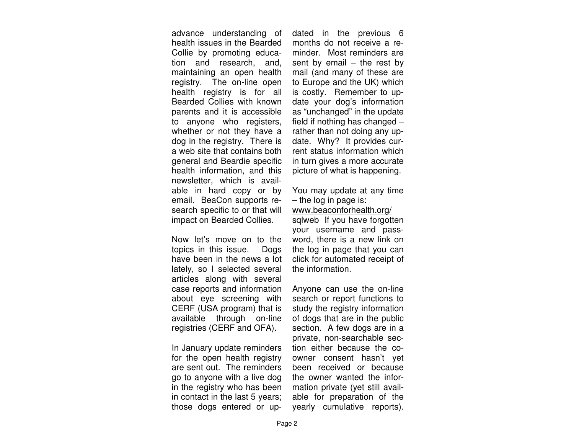advance understanding of health issues in the Bearded Collie by promoting education and research, and, maintaining an open health registry. The on-line open health registry is for all Bearded Collies with known parents and it is accessible to anyone who registers, whether or not they have a dog in the registry. There is a web site that contains both general and Beardie specific health information, and this newsletter, which is available in hard copy or by email. BeaCon supports research specific to or that will impact on Bearded Collies.

Now let's move on to the topics in this issue. Dogs have been in the news a lot lately, so I selected several articles along with several case reports and information about eye screening with CERF (USA program) that is available through on-line registries (CERF and OFA).

In January update reminders for the open health registry are sent out. The reminders go to anyone with a live dog in the registry who has been in contact in the last 5 years; those dogs entered or up-

dated in the previous 6 months do not receive a reminder. Most reminders are sent by email – the rest by<br>mail (and many of these are<br>to Europe and the UK) which<br>is costly. Remember to update your dog's information as "unchanged" in the update<br>field if nothing has changed –<br>rather than not doing any up date. Why? It provides current status information which

in turn gives a more accurate<br>picture of what is happening.<br>You may update at any time<br>– the log in page is:<br>www.beaconforhealth.org/ sqlweb If you have forgotten your username and password, there is a new link on

word, there is a new link on<br>the log in page that you can<br>click for automated receipt of<br>the information.<br>Anyone can use the on-line<br>search or report functions to<br>study the registry information<br>of dogs that are in the publ tion either because the coowner consent hasn't yet<br>been received or because<br>the owner wanted the infor mation private (yet still available for preparation of the yearly cumulative reports).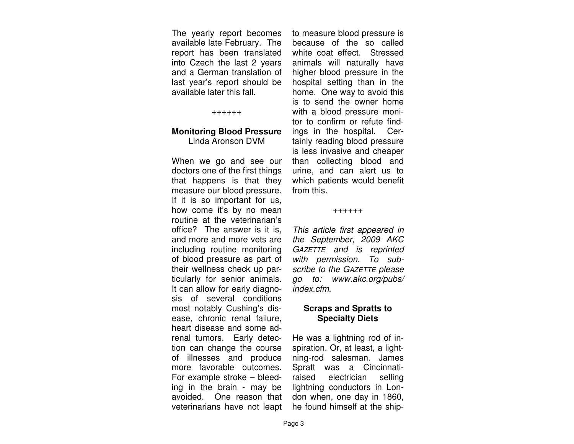The yearly report becomes available late February. The report has been translated into Czech the last 2 years and a German translation of last year's report should be available later this fall.

### ++++++

### **Monitoring Blood Pressure** Linda Aronson DVM

When we go and see our doctors one of the first things that happens is that they measure our blood pressure. If it is so important for us, how come it's by no mean routine at the veterinarian's office? The answer is it is, and more and more vets are including routine monitoring of blood pressure as part of their wellness check up particularly for senior animals. It can allow for early diagnosis of several conditions most notably Cushing's disease, chronic renal failure, heart disease and some adrenal tumors. Early detection can change the course of illnesses and produce more favorable outcomes. For example stroke – bleeding in the brain - may be avoided. One reason that veterinarians have not leapt

to measure blood pressure is because of the so called white coat effect. Stressed animals will naturally have higher blood pressure in the hospital setting than in the home. One way to avoid this is to send the owner home with a blood pressure monitor to confirm or refute findings in the hospital. Certainly reading blood pressure is less invasive and cheaper than collecting blood and urine, and can alert us to which patients would benefit from this.

### ++++++

This article first appeared in the September, 2009 AKC GAZETTE and is reprinted with permission. To subscribe to the GAZETTE please go to: www.akc.org/pubs/index.cfm.

### **Scraps and Spratts to Specialty Diets**

He was a lightning rod of inspiration. Or, at least, a lightning-rod salesman. James Spratt was a Cincinnatiraised electrician selling lightning conductors in London when, one day in 1860, he found himself at the ship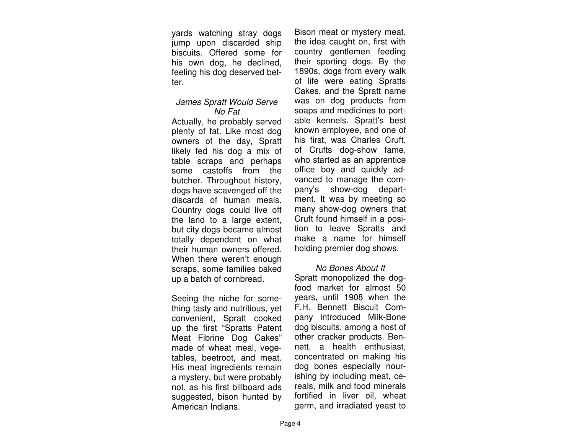yards watching stray dogs jump upon discarded ship biscuits. Offered some for his own dog, he declined, feeling his dog deserved better.

### James Spratt Would Serve No Fat

 Actually, he probably served plenty of fat. Like most dog owners of the day, Spratt likely fed his dog a mix of table scraps and perhaps some castoffs from the butcher. Throughout history, dogs have scavenged off the discards of human meals. Country dogs could live off the land to a large extent, but city dogs became almost totally dependent on what their human owners offered. When there weren't enough scraps, some families baked up a batch of cornbread.

Seeing the niche for something tasty and nutritious, yet convenient, Spratt cooked up the first "Spratts Patent Meat Fibrine Dog Cakes" made of wheat meal, vegetables, beetroot, and meat. His meat ingredients remain a mystery, but were probably not, as his first billboard ads suggested, bison hunted by American Indians.

Bison meat or mystery meat, the idea caught on, first with country gentlemen feeding their sporting dogs. By the 1890s, dogs from every walk of life were eating Spratts Cakes, and the Spratt name was on dog products from soaps and medicines to portable kennels. Spratt's best known employee, and one of his first, was Charles Cruft, of Crufts dog-show fame, who started as an apprentice office boy and quickly advanced to manage the company's show-dog department. It was by meeting so many show-dog owners that Cruft found himself in a position to leave Spratts and make a name for himself holding premier dog shows.

### No Bones About It

 Spratt monopolized the dogfood market for almost 50 years, until 1908 when the F.H. Bennett Biscuit Company introduced Milk-Bone dog biscuits, among a host of other cracker products. Bennett, a health enthusiast, concentrated on making his dog bones especially nourishing by including meat, cereals, milk and food minerals fortified in liver oil, wheat germ, and irradiated yeast to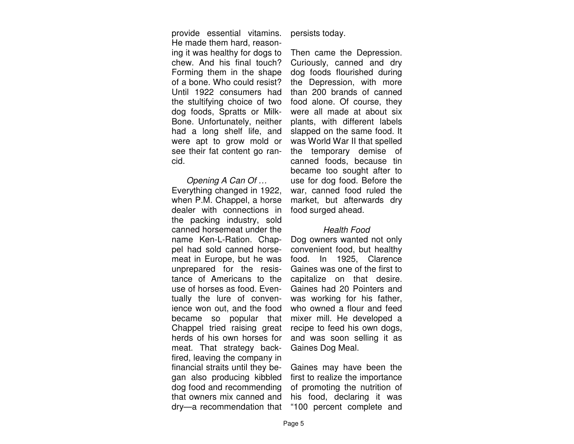provide essential vitamins. He made them hard, reasoning it was healthy for dogs to chew. And his final touch? Forming them in the shape of a bone. Who could resist? Until 1922 consumers had the stultifying choice of two dog foods, Spratts or Milk-Bone. Unfortunately, neither had a long shelf life, and were apt to grow mold or see their fat content go rancid.

Opening A Can Of … Everything changed in 1922, when P.M. Chappel, a horse dealer with connections in the packing industry, sold canned horsemeat under the name Ken-L-Ration. Chappel had sold canned horsemeat in Europe, but he was unprepared for the resistance of Americans to the use of horses as food. Eventually the lure of convenience won out, and the food became so popular that Chappel tried raising great herds of his own horses for meat. That strategy backfired, leaving the company in financial straits until they began also producing kibbled dog food and recommending that owners mix canned and dry—a recommendation that

persists today.

Then came the Depression. Curiously, canned and dry dog foods flourished during the Depression, with more than 200 brands of canned food alone. Of course, they were all made at about six plants, with different labels slapped on the same food. It was World War II that spelled the temporary demise of canned foods, because tin became too sought after to use for dog food. Before the war, canned food ruled the market, but afterwards dry food surged ahead.

### Health Food

Dog owners wanted not only convenient food, but healthy food. In 1925, Clarence Gaines was one of the first to capitalize on that desire. Gaines had 20 Pointers and was working for his father, who owned a flour and feed mixer mill. He developed a recipe to feed his own dogs, and was soon selling it as Gaines Dog Meal.

Gaines may have been the first to realize the importance of promoting the nutrition of his food, declaring it was "100 percent complete and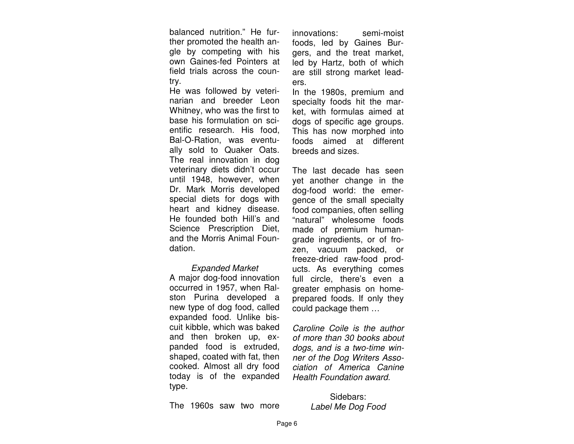balanced nutrition." He further promoted the health angle by competing with his own Gaines-fed Pointers at field trials across the country.

 He was followed by veterinarian and breeder Leon Whitney, who was the first to base his formulation on scientific research. His food, Bal-O-Ration, was eventually sold to Quaker Oats. The real innovation in dog veterinary diets didn't occur until 1948, however, when Dr. Mark Morris developed special diets for dogs with heart and kidney disease. He founded both Hill's and Science Prescription Diet, and the Morris Animal Foundation.

### Expanded Market

 A major dog-food innovation occurred in 1957, when Ralston Purina developed a new type of dog food, called expanded food. Unlike biscuit kibble, which was baked and then broken up, expanded food is extruded, shaped, coated with fat, then cooked. Almost all dry food today is of the expanded type.

innovations: semi-moist foods, led by Gaines Burgers, and the treat market, led by Hartz, both of which are still strong market leaders.

 In the 1980s, premium and specialty foods hit the market, with formulas aimed at dogs of specific age groups. This has now morphed into foods aimed at different breeds and sizes.

The last decade has seen yet another change in the dog-food world: the emergence of the small specialty food companies, often selling "natural" wholesome foods made of premium humangrade ingredients, or of frozen, vacuum packed, or freeze-dried raw-food products. As everything comes full circle, there's even a greater emphasis on homeprepared foods. If only they could package them …

Caroline Coile is the author of more than 30 books about dogs, and is a two-time winner of the Dog Writers Association of America Canine Health Foundation award.

The 1960s saw two more

Sidebars: Label Me Dog Food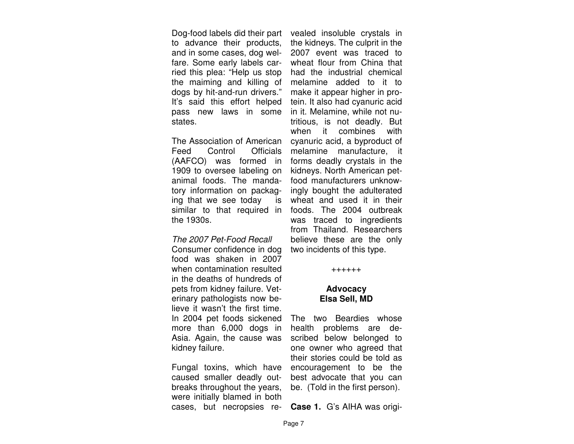Dog-food labels did their part to advance their products, and in some cases, dog welfare. Some early labels carried this plea: "Help us stop the maiming and killing of dogs by hit-and-run drivers." It's said this effort helped pass new laws in some states.

The Association of American Feed Control Officials (AAFCO) was formed in 1909 to oversee labeling on animal foods. The mandatory information on packaging that we see today is similar to that required in the 1930s.

### The 2007 Pet-Food Recall

Consumer confidence in dog food was shaken in 2007 when contamination resulted in the deaths of hundreds of pets from kidney failure. Veterinary pathologists now believe it wasn't the first time. In 2004 pet foods sickened more than 6,000 dogs in Asia. Again, the cause was kidney failure.

Fungal toxins, which have caused smaller deadly outbreaks throughout the years, were initially blamed in both cases, but necropsies re-

vealed insoluble crystals in the kidneys. The culprit in the 2007 event was traced to wheat flour from China that had the industrial chemical melamine added to it to make it appear higher in protein. It also had cyanuric acid in it. Melamine, while not nutritious, is not deadly. But when it combines with<br>cyanuric acid, a byproduct of<br>melamine manufacture, it<br>forms deadly crystals in the<br>kidneys. North American petfood manufacturers unknowingly bought the adulterated ingly bought the adulterated<br>wheat and used it in their<br>foods. The 2004 outbreak<br>was traced to ingredients<br>from Thailand. Researchers<br>believe these are the only<br>two incidents of this type.<br>+++++++

# **Advocacy Elsa Sell, MD**

The two Beardies whose health problems are described below belonged to one owner who agreed that<br>their stories could be told as<br>encouragement to be the<br>best advocate that you can<br>be. (Told in the first person).

**Case 1.** G's AIHA was origi-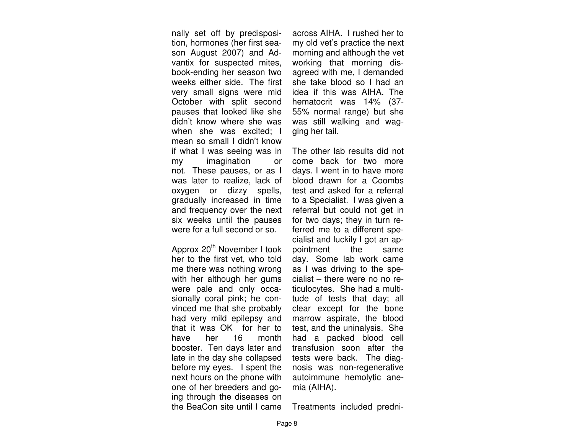nally set off by predisposition, hormones (her first season August 2007) and Advantix for suspected mites, book-ending her season two weeks either side. The first very small signs were mid October with split second pauses that looked like she didn't know where she was when she was excited; I mean so small I didn't know if what I was seeing was in my imagination or not. These pauses, or as I was later to realize, lack of oxygen or dizzy spells, gradually increased in time and frequency over the next six weeks until the pauses were for a full second or so.

Approx 20<sup>th</sup> November I took her to the first vet, who told me there was nothing wrong with her although her gums were pale and only occasionally coral pink; he convinced me that she probably had very mild epilepsy and that it was OK for her to have her 16 month booster. Ten days later and late in the day she collapsed before my eyes. I spent the next hours on the phone with one of her breeders and going through the diseases on the BeaCon site until I came across AIHA. I rushed her to my old vet's practice the next morning and although the vet working that morning disagreed with me, I demanded she take blood so I had an idea if this was AIHA. The hematocrit was 14% (37- 55% normal range) but she was still walking and wagging her tail.

The other lab results did not come back for two more days. I went in to have more blood drawn for a Coombs test and asked for a referral to a Specialist. I was given a referral but could not get in for two days; they in turn referred me to a different specialist and luckily I got an appointment the same day. Some lab work came as I was driving to the specialist – there were no no reticulocytes. She had a multitude of tests that day; all clear except for the bone marrow aspirate, the blood test, and the uninalysis. She had a packed blood cell transfusion soon after the tests were back. The diagnosis was non-regenerative autoimmune hemolytic anemia (AIHA).

Treatments included predni-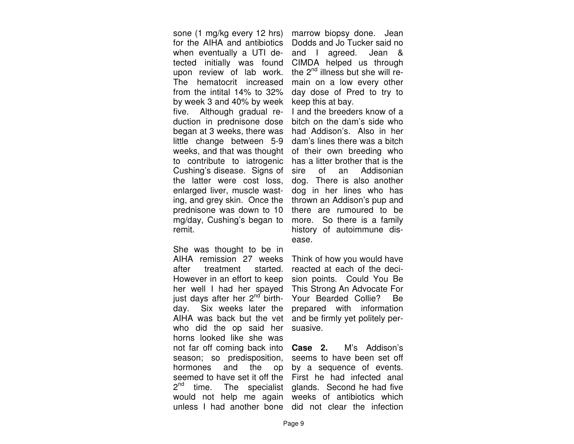sone (1 mg/kg every 12 hrs) for the AIHA and antibiotics when eventually a UTI detected initially was found upon review of lab work. The hematocrit increased from the intital 14% to 32% by week 3 and 40% by week five. Although gradual reduction in prednisone dose began at 3 weeks, there was little change between 5-9 weeks, and that was thought to contribute to iatrogenic Cushing's disease. Signs of the latter were cost loss, enlarged liver, muscle wasting, and grey skin. Once the prednisone was down to 10 mg/day, Cushing's began to remit.

She was thought to be in AIHA remission 27 weeks after treatment started. However in an effort to keep her well I had her spayed just days after her  $2<sup>nd</sup>$  birthday. Six weeks later the AIHA was back but the vet who did the op said her horns looked like she was not far off coming back into season; so predisposition, hormones and the op seemed to have set it off the 2<sup>nd</sup> time. The specialist would not help me again

marrow biopsy done. Jean Dodds and Jo Tucker said no and I agreed. Jean & CIMDA helped us through the 2<sup>nd</sup> illness but she will remain on a low every other day dose of Pred to try to keep this at bay.

 I and the breeders know of a bitch on the dam's side who had Addison's. Also in her dam's lines there was a bitch of their own breeding who has a litter brother that is the sire of an Addisonian dog. There is also another dog in her lines who has thrown an Addison's pup and there are rumoured to be more. So there is a family history of autoimmune disease.

Think of how you would have reacted at each of the decision points. Could You Be This Strong An Advocate For Your Bearded Collie? Be prepared with information and be firmly yet politely persuasive.

unless I had another bone did not clear the infection **Case 2.** M's Addison's seems to have been set off by a sequence of events. First he had infected anal glands. Second he had five weeks of antibiotics which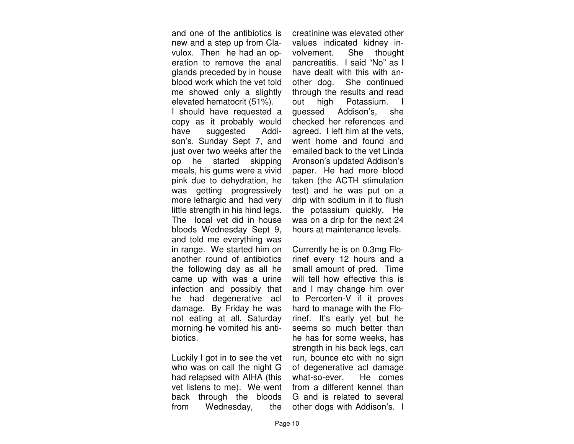and one of the antibiotics is new and a step up from Clavulox. Then he had an operation to remove the anal glands preceded by in house blood work which the vet told me showed only a slightly elevated hematocrit (51%). I should have requested a copy as it probably would have suggested Addison's. Sunday Sept 7, and just over two weeks after the op he started skipping meals, his gums were a vivid pink due to dehydration, he was getting progressively more lethargic and had very little strength in his hind legs. The local vet did in house bloods Wednesday Sept 9, and told me everything was in range. We started him on another round of antibiotics the following day as all he came up with was a urine infection and possibly that he had degenerative acl damage. By Friday he was not eating at all, Saturday morning he vomited his antibiotics.

Luckily I got in to see the vet who was on call the night G had relapsed with AIHA (this vet listens to me). We went back through the bloods from Wednesday, the

creatinine was elevated other values indicated kidney involvement. She thought pancreatitis. I said "No" as I have dealt with this with another dog. She continued through the results and read out high Potassium. guessed Addison's, she checked her references and agreed. I left him at the vets, went home and found and emailed back to the vet Linda Aronson's updated Addison's paper. He had more blood taken (the ACTH stimulation test) and he was put on a drip with sodium in it to flush the potassium quickly. He was on a drip for the next 24 hours at maintenance levels.

Currently he is on 0.3mg Florinef every 12 hours and a small amount of pred. Time will tell how effective this is and I may change him over to Percorten-V if it proves hard to manage with the Florinef. It's early yet but he seems so much better than he has for some weeks, has strength in his back legs, can run, bounce etc with no sign of degenerative acl damage what-so-ever. He comes from a different kennel than G and is related to several other dogs with Addison's. I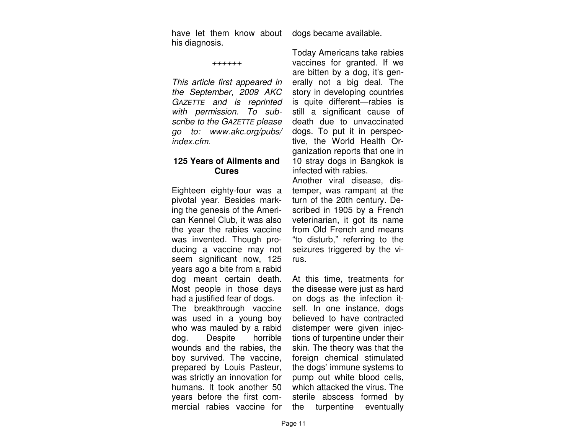have let them know about his diagnosis.

++++++

This article first appeared in the September, 2009 AKC GAZETTE and is reprinted with permission. To subscribe to the GAZETTE please go to: www.akc.org/pubs/index.cfm.

## **125 Years of Ailments and Cures**

Eighteen eighty-four was a pivotal year. Besides marking the genesis of the American Kennel Club, it was also the year the rabies vaccine was invented. Though producing a vaccine may not seem significant now, 125 years ago a bite from a rabid dog meant certain death. Most people in those days had a justified fear of dogs. The breakthrough vaccine was used in a young boy who was mauled by a rabid dog. Despite horrible wounds and the rabies, the boy survived. The vaccine, prepared by Louis Pasteur, was strictly an innovation for humans. It took another 50 years before the first commercial rabies vaccine for

dogs became available.

Today Americans take rabies vaccines for granted. If we are bitten by a dog, it's generally not a big deal. The story in developing countries is quite different—rabies is still a significant cause of death due to unvaccinated dogs. To put it in perspective, the World Health Organization reports that one in 10 stray dogs in Bangkok is infected with rabies.

Another viral disease, distemper, was rampant at the turn of the 20th century. Described in 1905 by a French veterinarian, it got its name from Old French and means "to disturb," referring to the seizures triggered by the virus.

At this time, treatments for the disease were just as hard on dogs as the infection itself. In one instance, dogs believed to have contracted distemper were given injections of turpentine under their skin. The theory was that the foreign chemical stimulated the dogs' immune systems to pump out white blood cells, which attacked the virus. The sterile abscess formed by the turpentine eventually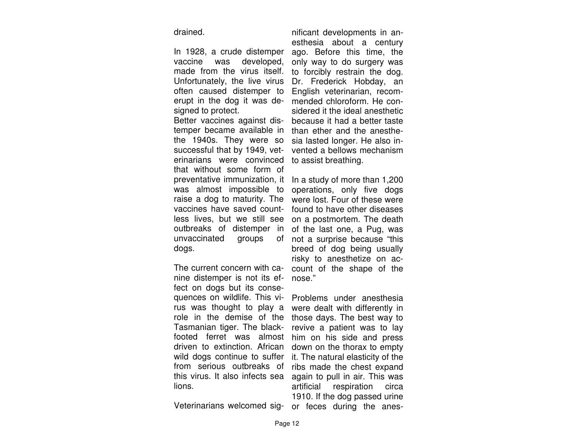drained.

In 1928, a crude distemper vaccine was developed, made from the virus itself. Unfortunately, the live virus often caused distemper to erupt in the dog it was designed to protect.

 Better vaccines against distemper became available in the 1940s. They were so successful that by 1949, veterinarians were convinced that without some form of preventative immunization, it was almost impossible to raise a dog to maturity. The vaccines have saved countless lives, but we still see outbreaks of distemper in unvaccinated groups of not a surprise because "this dogs.

The current concern with canine distemper is not its effect on dogs but its consequences on wildlife. This virus was thought to play a role in the demise of the Tasmanian tiger. The blackfooted ferret was almost him on his side and press driven to extinction. African wild dogs continue to suffer from serious outbreaks of this virus. It also infects sea lions.

Veterinarians welcomed sig-

nificant developments in anesthesia about a century ago. Before this time, the only way to do surgery was to forcibly restrain the dog. Dr. Frederick Hobday, an English veterinarian, recom mended chloroform. He considered it the ideal anesthetic because it had a better taste<br>than ether and the anesthe sia lasted longer. He also invented a bellows mechanism

vented a bellows mechanism<br>to assist breathing.<br>In a study of more than 1,200<br>operations, only five dogs<br>were lost. Four of these were<br>found to have other diseases<br>on a postmortem. The death<br>of the last one, a Pug, was<br>not count of the shape of the

count of the shape of the<br>nose."<br>Problems under anesthesia<br>were dealt with differently in<br>those days. The best way to<br>revive a patient was to lay<br>him on his side and press<br>down on the thorax to empty<br>it. The natural elasti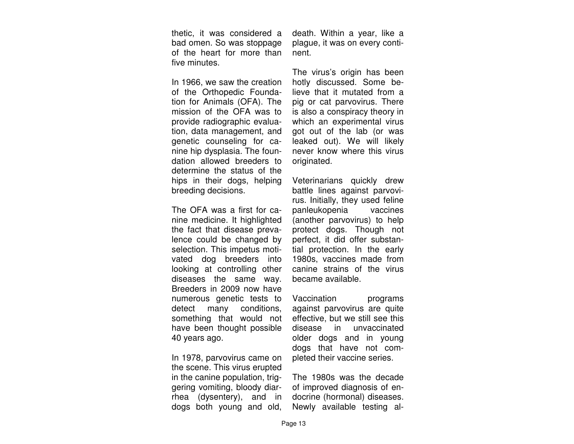thetic, it was considered a bad omen. So was stoppage of the heart for more than five minutes.

In 1966, we saw the creation of the Orthopedic Foundation for Animals (OFA). The mission of the OFA was to provide radiographic evaluation, data management, and genetic counseling for canine hip dysplasia. The foundation allowed breeders to determine the status of the hips in their dogs, helping breeding decisions.

The OFA was a first for canine medicine. It highlighted the fact that disease prevalence could be changed by selection. This impetus motivated dog breeders into looking at controlling other diseases the same way. Breeders in 2009 now have numerous genetic tests to detect many conditions, something that would not have been thought possible 40 years ago.

In 1978, parvovirus came on the scene. This virus erupted in the canine population, triggering vomiting, bloody diarrhea (dysentery), and in dogs both young and old,

death. Within a year, like a plague, it was on every continent.

The virus's origin has been hotly discussed. Some believe that it mutated from a pig or cat parvovirus. There is also a conspiracy theory in which an experimental virus got out of the lab (or was leaked out). We will likely never know where this virus originated.

Veterinarians quickly drew battle lines against parvovirus. Initially, they used feline panleukopenia vaccines (another parvovirus) to help protect dogs. Though not perfect, it did offer substantial protection. In the early 1980s, vaccines made from canine strains of the virus became available.

Vaccination programs against parvovirus are quite effective, but we still see this disease in unvaccinated older dogs and in young dogs that have not completed their vaccine series.

The 1980s was the decade of improved diagnosis of endocrine (hormonal) diseases. Newly available testing al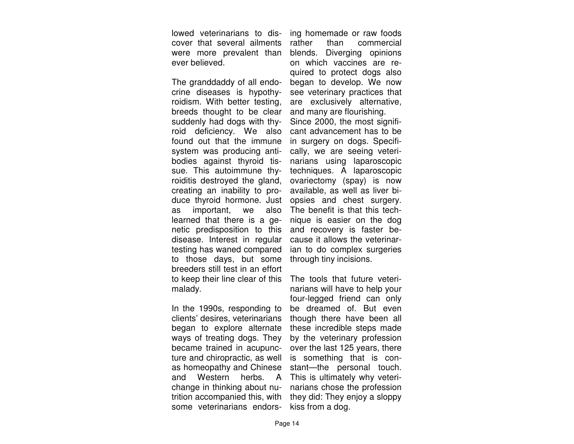lowed veterinarians to discover that several ailments were more prevalent than ever believed.

The granddaddy of all endocrine diseases is hypothyroidism. With better testing, breeds thought to be clear suddenly had dogs with thyroid deficiency. We also found out that the immune system was producing antibodies against thyroid tissue. This autoimmune thyroiditis destroyed the gland, creating an inability to produce thyroid hormone. Just as important, we also learned that there is a genetic predisposition to this disease. Interest in regular testing has waned compared to those days, but some breeders still test in an effort to keep their line clear of this malady.

In the 1990s, responding to clients' desires, veterinarians began to explore alternate ways of treating dogs. They became trained in acupuncture and chiropractic, as well as homeopathy and Chinese and Western herbs. A change in thinking about nutrition accompanied this, with some veterinarians endors-

ing homemade or raw foods<br>rather than commercial<br>blends. Diverging opinions<br>on which vaccines are required to protect dogs also began to develop. We now see veterinary practices that are exclusively alternative, and many are flourishing. Since 2000, the most signifi-

cant advancement has to be in surgery on dogs. Specifi cally, we are seeing veterinarians using laparoscopic techniques. A laparoscopic<br>ovariectomy (spay) is now<br>available, as well as liver bi opsies and chest surgery. The benefit is that this technique is easier on the dog and recovery is faster be cause it allows the veterinarian to do complex surgeries<br>through tiny incisions.<br>The tools that future veteri-

narians will have to help your four-legged friend can only be dreamed of. But even though there have been all these incredible steps made by the veterinary profession over the last 125 years, there is something that is constant-the personal touch. This is ultimately why veterinarians chose the profession they did: They enjoy a sloppy<br>kiss from a dog.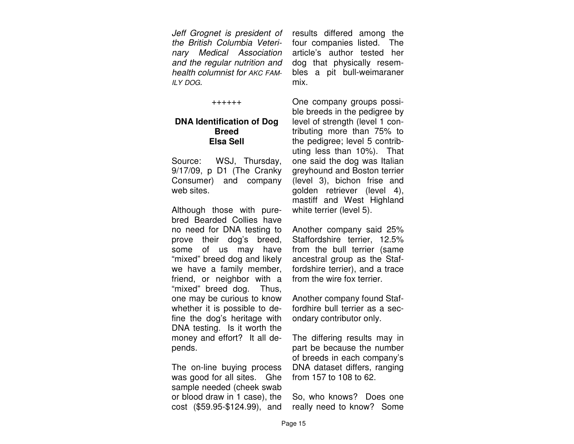Jeff Grognet is president of the British Columbia Veterinary Medical Association and the regular nutrition and health columnist for AKC FAM-ILY DOG.

++++++

### **DNA Identification of Dog Breed Elsa Sell**

Source: WSJ, Thursday, 9/17/09, p D1 (The Cranky Consumer) and company web sites.

Although those with purebred Bearded Collies have no need for DNA testing to prove their dog's breed, some of us may have "mixed" breed dog and likely we have a family member, friend, or neighbor with a "mixed" breed dog. Thus, one may be curious to know whether it is possible to define the dog's heritage with DNA testing. Is it worth the money and effort? It all depends.

The on-line buying process was good for all sites. Ghe sample needed (cheek swab or blood draw in 1 case), the cost (\$59.95-\$124.99), and results differed among the four companies listed. The article's author tested her dog that physically resembles a pit bull-weimaraner mix.

One company groups possible breeds in the pedigree by level of strength (level 1 contributing more than 75% to the pedigree; level 5 contributing less than 10%). That one said the dog was Italian greyhound and Boston terrier (level 3), bichon frise and golden retriever (level 4), mastiff and West Highland white terrier (level 5).

Another company said 25% Staffordshire terrier, 12.5% from the bull terrier (same ancestral group as the Staffordshire terrier), and a trace from the wire fox terrier.

Another company found Staffordhire bull terrier as a secondary contributor only.

The differing results may in part be because the number of breeds in each company's DNA dataset differs, ranging from 157 to 108 to 62.

So, who knows? Does one really need to know? Some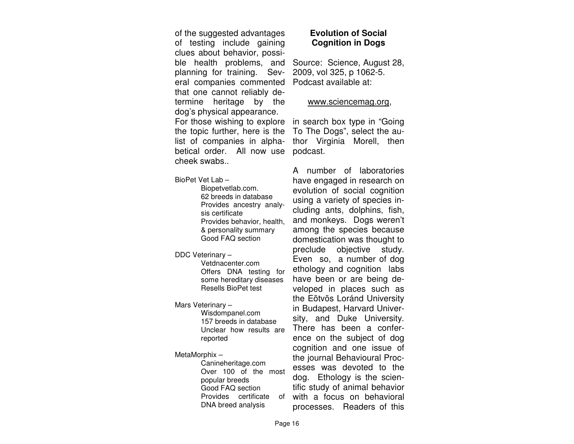of the suggested advantages of testing include gaining clues about behavior, possible health problems, and planning for training. Several companies commented Podcast available at: that one cannot reliably determine heritage by the dog's physical appearance. For those wishing to explore in search box type in "Going the topic further, here is the

betical order. All now use podcast. cheek swabs..

BioPet Vet Lab –

 Biopetvetlab.com. 62 breeds in database Provides ancestry analy sis certificate Provides behavior, health, & personality summary Good FAQ section

DDC Veterinary –

 Vetdnacenter.com Offers DNA testing for some hereditary diseases Resells BioPet test

Mars Veterinary –

 Wisdompanel.com 157 breeds in database Unclear how results are reported

### MetaMorphix –

 Canineheritage.com Over 100 of the most popular breeds Good FAQ section Provides certificate of DNA breed analysis

# **Evolution of Social Cognition in Dogs**

Source: Science, August 28, 2009, vol 325, p 1062-5.

### www.sciencemag.org,

list of companies in alpha- thor Virginia Morell, then To The Dogs", select the au-

> A number of laboratories have engaged in research on evolution of social cognition using a variety of species including ants, dolphins, fish, and monkeys. Dogs weren't among the species because domestication was thought to preclude objective study. Even so, a number of dog ethology and cognition labs have been or are being developed in places such as the Eõtvõs Loránd University in Budapest, Harvard University, and Duke University. There has been a conference on the subject of dog cognition and one issue of the journal Behavioural Processes was devoted to the dog. Ethology is the scientific study of animal behavior with a focus on behavioral processes. Readers of this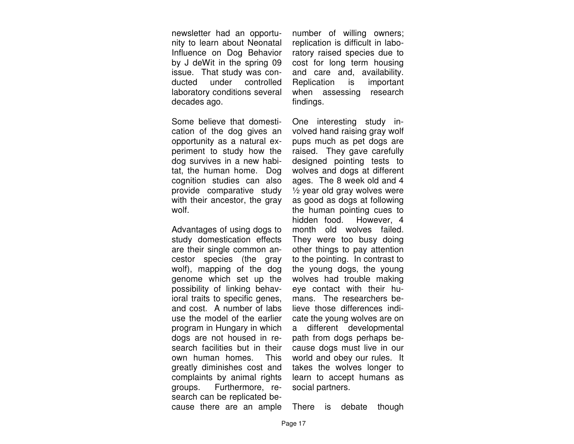newsletter had an opportunity to learn about Neonatal Influence on Dog Behavior by J deWit in the spring 09 issue. That study was conducted under controlled laboratory conditions several decades ago.

Some believe that domestication of the dog gives an opportunity as a natural experiment to study how the dog survives in a new habitat, the human home. Dog cognition studies can also provide comparative study with their ancestor, the gray wolf.

Advantages of using dogs to study domestication effects are their single common ancestor species (the gray wolf), mapping of the dog genome which set up the possibility of linking behavioral traits to specific genes, and cost. A number of labs use the model of the earlier program in Hungary in which dogs are not housed in research facilities but in their own human homes. This greatly diminishes cost and complaints by animal rights groups. Furthermore, research can be replicated because there are an ample

number of willing owners; replication is difficult in laboratory raised species due to cost for long term housing and care and, availability. important Replication is when assessing research findings.

One interesting study involved hand raising gray wolf pups much as pet dogs are raised. They gave carefully designed pointing tests to wolves and dogs at different ages. The 8 week old and 4 ½ year old gray wolves were as good as dogs at following the human pointing cues to hidden food. However, 4 month old wolves failed. They were too busy doing other things to pay attention to the pointing. In contrast to the young dogs, the young wolves had trouble making eye contact with their humans. The researchers believe those differences indicate the young wolves are on a different developmental path from dogs perhaps because dogs must live in our world and obey our rules. It takes the wolves longer to learn to accept humans as social partners.

There is debate though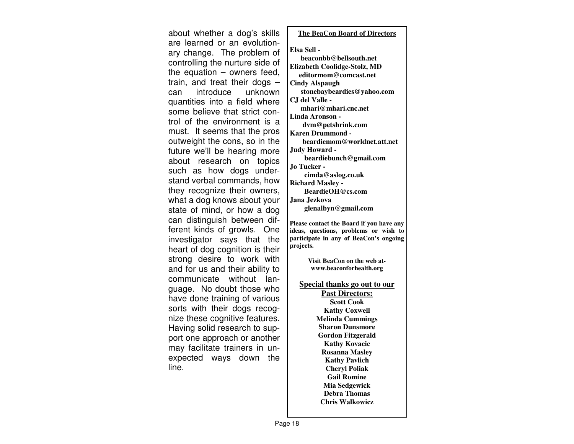about whether a dog's skills are learned or an evolutionary change. The problem of controlling the nurture side of the equation – owners feed, train, and treat their dogs – can introduce unknown quantities into a field where some believe that strict control of the environment is a must. It seems that the pros outweight the cons, so in the future we'll be hearing more about research on topics such as how dogs understand verbal commands, how they recognize their owners, what a dog knows about your state of mind, or how a dog can distinguish between different kinds of growls. One investigator says that the heart of dog cognition is their strong desire to work with and for us and their ability to communicate without language. No doubt those who have done training of various sorts with their dogs recognize these cognitive features. Having solid research to support one approach or another may facilitate trainers in unexpected ways down the line.

### **The BeaCon Board of Directors**

### **Elsa Sell -**

 **beaconbb@bellsouth.net Elizabeth Coolidge-Stolz, MD editormom@comcast.net Cindy Alspaugh stonebaybeardies@yahoo.com CJ del Valle mhari@mhari.cnc.net Linda Aronson dvm@petshrink.com Karen Drummond beardiemom@worldnet.att.net Judy Howard beardiebunch@gmail.com Jo Tucker - cimda@aslog.co.uk Richard Masley - BeardieOH@cs.com Jana Jezkova** 

 **glenalbyn@gmail.com** 

**Please contact the Board if you have any ideas, questions, problems or wish to participate in any of BeaCon's ongoing projects.** 

> **Visit BeaCon on the web atwww.beaconforhealth.org**

**Special thanks go out to our** 

**Past Directors:Scott Cook Kathy Coxwell Melinda Cummings Sharon Dunsmore Gordon Fitzgerald Kathy Kovacic Rosanna Masley Kathy Pavlich Cheryl Poliak Gail Romine Mia Sedgewick Debra Thomas Chris Walkowicz**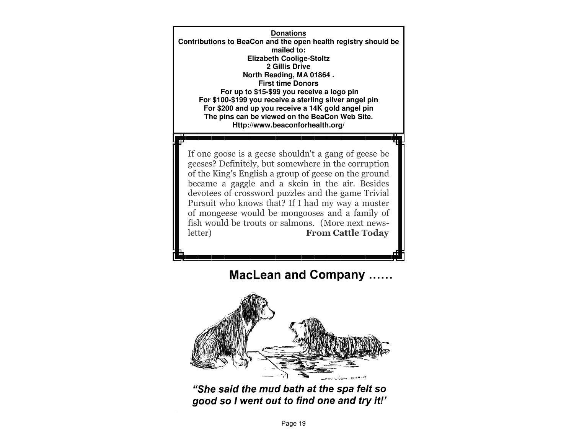**Donations Contributions to BeaCon and the open health registry should be mailed to: Elizabeth Coolige-Stoltz 2 Gillis Drive North Reading, MA 01864 . First time Donors For up to \$15-\$99 you receive a logo pin For \$100-\$199 you receive a sterling silver angel pin For \$200 and up you receive a 14K gold angel pin The pins can be viewed on the BeaCon Web Site. Http://www.beaconforhealth.org/** 

If one goose is a geese shouldn't a gang of geese be geeses? Definitely, but somewhere in the corruption of the King's English a group of geese on the ground became a gaggle and a skein in the air. Besides devotees of crossword puzzles and the game Trivial Pursuit who knows that? If I had my way a muster of mongeese would be mongooses and a family of fish would be trouts or salmons. (More next newsletter) From Cattle Today

# **MacLean and Company ......**



"She said the mud bath at the spa felt so good so I went out to find one and try it!'